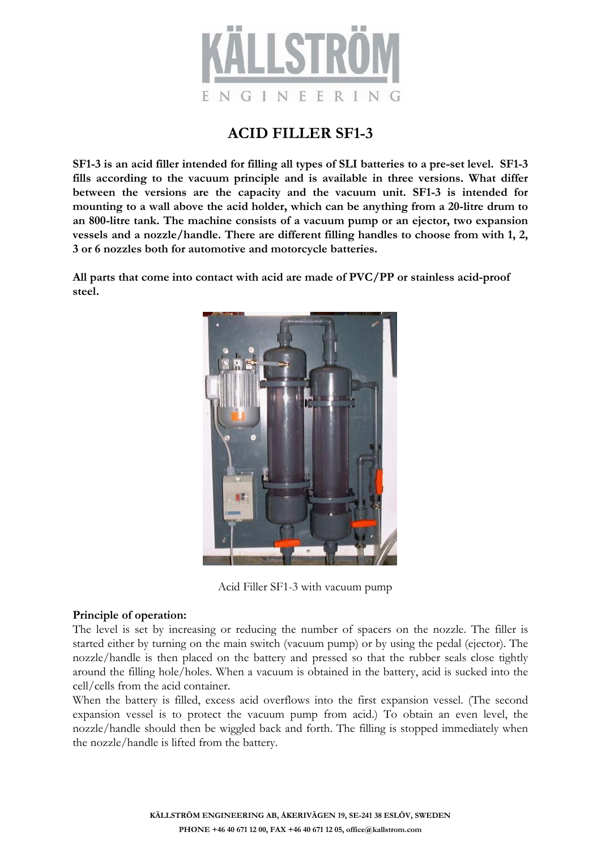

## **ACID FILLER SF1-3**

**SF1-3 is an acid filler intended for filling all types of SLI batteries to a pre-set level. SF1-3 fills according to the vacuum principle and is available in three versions. What differ between the versions are the capacity and the vacuum unit. SF1-3 is intended for mounting to a wall above the acid holder, which can be anything from a 20-litre drum to an 800-litre tank. The machine consists of a vacuum pump or an ejector, two expansion vessels and a nozzle/handle. There are different filling handles to choose from with 1, 2, 3 or 6 nozzles both for automotive and motorcycle batteries.**

**All parts that come into contact with acid are made of PVC/PP or stainless acid-proof steel.**



Acid Filler SF1-3 with vacuum pump

### **Principle of operation:**

The level is set by increasing or reducing the number of spacers on the nozzle. The filler is started either by turning on the main switch (vacuum pump) or by using the pedal (ejector). The nozzle/handle is then placed on the battery and pressed so that the rubber seals close tightly around the filling hole/holes. When a vacuum is obtained in the battery, acid is sucked into the cell/cells from the acid container.

When the battery is filled, excess acid overflows into the first expansion vessel. (The second expansion vessel is to protect the vacuum pump from acid.) To obtain an even level, the nozzle/handle should then be wiggled back and forth. The filling is stopped immediately when the nozzle/handle is lifted from the battery.